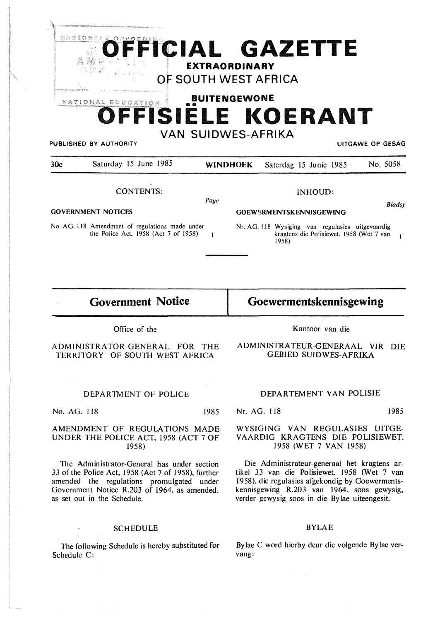| 21 A S I<br>Ã.<br>- 静 ジ | $\mathbb{Z}_{q}$   | <b>SOFFICIAL GAZETTE</b><br><b>EXTRAORDINARY</b> |                         |
|-------------------------|--------------------|--------------------------------------------------|-------------------------|
|                         | <b>DRE</b> Landsh  | OF SOUTH WEST AFRICA                             |                         |
|                         | NATIONAL EDUCATION | <b>BUITENGEWONE</b>                              |                         |
|                         |                    | OFFISIELE KOERANT                                |                         |
| PUBLISHED BY AUTHORITY  |                    | <b>VAN SUIDWES-AFRIKA</b>                        | <b>UITGAWE OP GESAG</b> |

|                           |                                                                                         | Page |                                |                                                                                                       | <b>Blads</b> |
|---------------------------|-----------------------------------------------------------------------------------------|------|--------------------------------|-------------------------------------------------------------------------------------------------------|--------------|
| <b>GOVERNMENT NOTICES</b> |                                                                                         |      | <b>GOEWERMENTSKENNISGEWING</b> |                                                                                                       |              |
|                           | No. AG. 118 Amendment of regulations made under<br>the Police Act, 1958 (Act 7 of 1958) |      |                                | Nr. AG. 118 Wysiging van regulasies uitgevaardig<br>kragtens die Polisiewet, 1958 (Wet 7 van<br>1958) |              |
|                           |                                                                                         |      |                                |                                                                                                       |              |

30c Saturday 15 June 1985 **WINDHOFK** Saterdag 15 Junie 1985 No. 5058

**Government Notice** 

CONTENTS:

## Office of the

ADMINISTRATOR-GENERAL FOR THE TERRITORY OF SOUTH WEST AFRICA

DEPARTMENT OF POLICE

No. AG. 118 1985

## AMENDMENT OF REGULATIONS MADE UNDER THE POLICE ACT, 1958 (ACT 7 OF 1958)

The Administrator-General has under section 33 of the Police Act, 1958 (Act 7 of 1958), further amended the regulations promulgated under Government Notice R.203 of 1964, as amended, as set out in the Schedule.

## **SCHEDULE**

The following Schedule is hereby substituted for Schedule C:

**Goewermentskennisgewing** 

INHOUD:

*Bladsy* 

Kantoor van die

ADMJNJSTRATEUR-GENERAAL VIR DIE GEBJED SUIDWES-AFRIKA

## DEPARTEMENT VAN POLISIE

Nr. AG. 118 1985

## WYSIGING VAN REGULASIES UITGE-VAARDIG KRAGTENS DIE POLISIEWET, 1958 (WET 7 **VAN** 1958)

Die Administrateur-generaal het kragtens artikel 33 van die Polisiewet, 1958 (Wet 7 van 1958). die regulasies afgekondig by Goewermentskennisgewing R.203 van 1964, soos gewysig, verder gewysig soos in die Bylae uiteengesit.

## BYLAE

Bylae C word hierby deur die volgende Bylae vervang: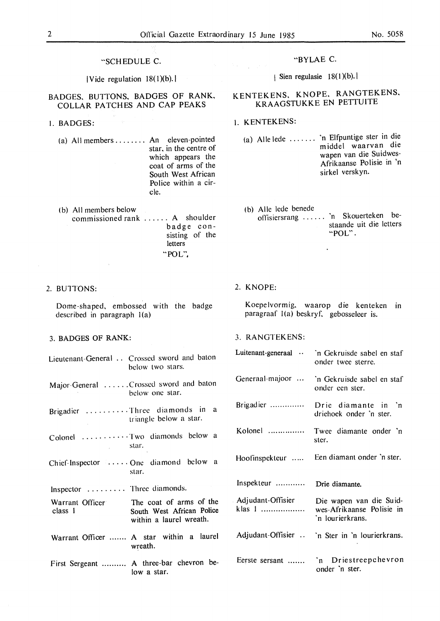## "SCHEDULE C.

 $|V$  ide regulation  $18(1)(b)$ .

## BADGES. BUTTONS, BADGES OF **RANK, COLLAR PATCHES AND CAP PEAKS**

- I. BADGES:
	- (a) All members ........ An eleven-pointed star, in the centre of which appears the coat of arms of the South West African Police within a circle.
	- (b) All members below commissioned rank ...... A shoulder badge consisting of the letters •"POL"',

#### 2. **BUlTONS:**

Dome-shaped, embossed with the badge described in paragraph  $l(a)$ 

## 3. **BADGES OF RANK:**

Lieutenant-General . . Crossed sword and baton below two stars. Major-General ...... Crossed sword and baton below one star. Brigadier .......... Three diamonds in a triangle below a star. Colonel ...... • • • • • Two diamonds below a star.  $\sim$ Chief.Inspector ..... One diamond below a star. Inspector . . . . . . . . . Three diamonds. The coat of arms of the Warrant Officer South West African Police class I within a laurel wreath. Warrant Officer ....... **A** star within a laurel wreath. First Sergeant .......... A three-bar chevron below a star.

## "BYLAE C.

| Sien regulasie  $18(1)(b)$ .

# **KENTEKENS, KNOPE. RANGTEKENS,**  KRAAGSTUKKE EN PETTUITE

#### I. **KENTEKENS:**

- (a) Aile lede ...... . 'n Elfpuntige ster in die middel waarvan die wapen van die Suidwes-Afrikaanse Polisie in 'n sirkel verskyn.
- (b) Aile lede benede offisiersrang . . . . . . 'n Skouerteken bestaande uit die letters "POL".

## 2. KNOPE:

Koepelvormig, waarop die kenteken in paragraaf  $I(a)$  beskryf, gebosseleer is.

## 3. RANGTEKENS:

| Luitenant-generaal          | 'n Gekruisde sabel en staf<br>onder twee sterre.                         |  |
|-----------------------------|--------------------------------------------------------------------------|--|
|                             | Generaal majoor  `n Gekruisde sabel en staf<br>onder een ster.           |  |
|                             | Brigadier  Drie diamante in 'n<br>driehoek onder 'n ster.                |  |
|                             | Kolonel  Twee diamante onder 'n<br>ster.                                 |  |
| Hoofinspekteur              | Een diamant onder 'n ster.                                               |  |
| Inspekteur                  | Drie diamante.                                                           |  |
| Adjudant-Offisier<br>klas 1 | Die wapen van die Suid-<br>wes-Afrikaanse Polisie in<br>'n lourierkrans. |  |
| Adjudant-Offisier           | 'n Ster in 'n lourierkrans.                                              |  |
| Eerste sersant              | 'n Driestreepchevron<br>onder 'n ster.                                   |  |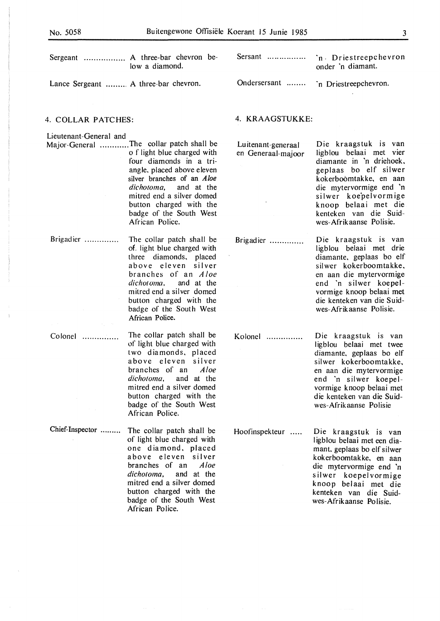$\bar{A}$ 

 $\bar{\lambda}$ 

| Sergeant  A three-bar chevron be-<br>low a diamond.                                                                                                                                                                                                                                                                                   | Sersant                                  | `n Driestreepchevron<br>onder 'n diamant.                                                                                                                                                                                                                      |  |  |  |
|---------------------------------------------------------------------------------------------------------------------------------------------------------------------------------------------------------------------------------------------------------------------------------------------------------------------------------------|------------------------------------------|----------------------------------------------------------------------------------------------------------------------------------------------------------------------------------------------------------------------------------------------------------------|--|--|--|
| Lance Sergeant  A three-bar chevron.                                                                                                                                                                                                                                                                                                  | Ondersersant                             | 'n Driestreepchevron.                                                                                                                                                                                                                                          |  |  |  |
| 4. COLLAR PATCHES:                                                                                                                                                                                                                                                                                                                    |                                          | 4. KRAAGSTUKKE:                                                                                                                                                                                                                                                |  |  |  |
| Lieutenant-General and<br>Major-General The collar patch shall be<br>o f light blue charged with<br>four diamonds in a tri-<br>angle, placed above eleven<br>silver branches of an <i>Aloe</i><br><i>dichotoma</i> , and at the<br>mitred end a silver domed<br>button charged with the<br>badge of the South West<br>African Police. | Luitenant-generaal<br>en Generaal-majoor | Die kraagstuk is van<br>ligblou belaai met vier<br>diamante in 'n driehoek,<br>geplaas bo elf silwer<br>kokerboomtakke, en aan<br>die mytervormige end 'n<br>silwer koepelvormige<br>knoop belaai met die<br>kenteken van die Suid-<br>wes-Afrikaanse Polisie. |  |  |  |
| The collar patch shall be<br>of. light blue charged with<br>three diamonds, placed<br>above eleven silver<br>branches of an <i>Aloe</i><br>dichotoma,<br>and at the<br>mitred end a silver domed<br>button charged with the<br>badge of the South West<br>African Police.                                                             | Brigadier                                | Die kraagstuk is van<br>ligblou belaai met drie<br>diamante, geplaas bo elf<br>silwer kokerboomtakke,<br>en aan die mytervormige<br>end 'n silwer koepel-<br>vormige knoop belaai met<br>die kenteken van die Suid-<br>wes-Afrikaanse Polisie.                 |  |  |  |
| The collar patch shall be<br>of light blue charged with<br>two diamonds, placed<br>above eleven silver<br>branches of an<br>Aloe<br>dichotoma,<br>and at the<br>mitred end a silver domed<br>button charged with the<br>badge of the South West<br>African Police.                                                                    | Kolonel                                  | Die kraagstuk is van<br>ligblou belaai met twee<br>diamante, geplaas bo elf<br>silwer kokerboomtakke,<br>en aan die mytervormige<br>end 'n silwer koepel-<br>vormige knoop belaai met<br>die kenteken van die Suid-<br>wes-Afrikaanse Polisie                  |  |  |  |
| The collar patch shall be<br>of light blue charged with<br>one diamond, placed<br>above eleven silver<br>branches of an<br>Aloe<br>dichotoma,<br>and at the<br>mitred end a silver domed<br>button charged with the<br>badge of the South West<br>African Police.                                                                     | Hoofinspekteur                           | Die kraagstuk is van<br>ligblou belaai met een dia-<br>mant, geplaas bo elf silwer<br>kokerboomtakke, en aan<br>die mytervormige end 'n<br>silwer koepelvormige<br>knoop belaai met die<br>kenteken van die Suid-<br>wes-Afrikaanse Polisie.                   |  |  |  |
|                                                                                                                                                                                                                                                                                                                                       |                                          |                                                                                                                                                                                                                                                                |  |  |  |